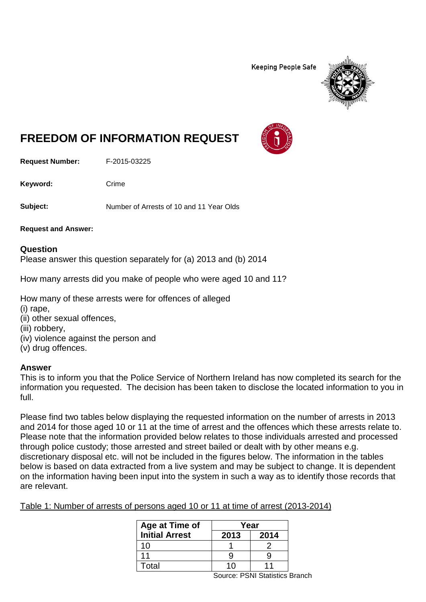**Keeping People Safe** 



## **FREEDOM OF INFORMATION REQUEST**

**Request Number:** F-2015-03225

Keyword: Crime

**Subject:** Number of Arrests of 10 and 11 Year Olds

**Request and Answer:**

## **Question**

Please answer this question separately for (a) 2013 and (b) 2014

How many arrests did you make of people who were aged 10 and 11?

How many of these arrests were for offences of alleged

- (i) rape,
- (ii) other sexual offences,
- (iii) robbery,
- (iv) violence against the person and
- (v) drug offences.

## **Answer**

This is to inform you that the Police Service of Northern Ireland has now completed its search for the information you requested. The decision has been taken to disclose the located information to you in full.

Please find two tables below displaying the requested information on the number of arrests in 2013 and 2014 for those aged 10 or 11 at the time of arrest and the offences which these arrests relate to. Please note that the information provided below relates to those individuals arrested and processed through police custody; those arrested and street bailed or dealt with by other means e.g. discretionary disposal etc. will not be included in the figures below. The information in the tables below is based on data extracted from a live system and may be subject to change. It is dependent on the information having been input into the system in such a way as to identify those records that are relevant.

Table 1: Number of arrests of persons aged 10 or 11 at time of arrest (2013-2014)

| Age at Time of        | Year   |      |
|-----------------------|--------|------|
| <b>Initial Arrest</b> | 2013   | 2014 |
| 10                    |        |      |
| 11                    |        | g    |
| Total                 | 10     | 11   |
|                       | ------ |      |

Source: PSNI Statistics Branch